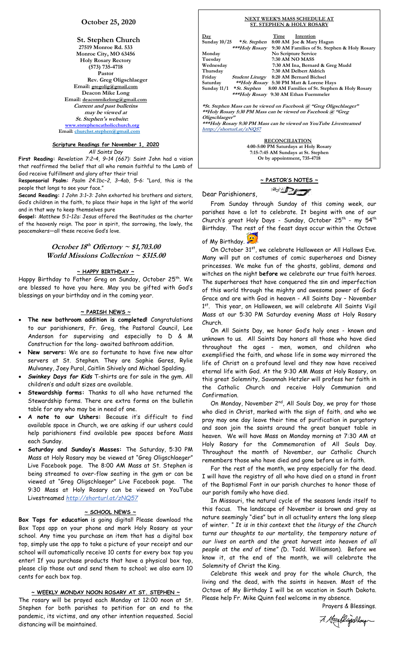# **October 25, 2020**

**St. Stephen Church 27519 Monroe Rd. 533 Monroe City, MO 63456 Holy Rosary Rectory (573) 735-4718 Pastor Rev. Greg Oligschlaeger Email: gregolig@gmail.com Deacon Mike Long Email: deaconmikelong@gmail.com Current and past bulletins may be viewed at St. Stephen's website: [www.ststephencatholicchurch.org](http://www.ststephencatholicchurch.org/) Email: [churchst.stephen@gmail.com](mailto:churchst.stephen@gmail.com)**

# **Scripture Readings for November 1, 2020**

*All Saints Day*

**First Reading:** *Revelation 7:2–4, 9–14 (667):* Saint John had a vision that reaffirmed the belief that all who remain faithful to the Lamb of God receive fulfillment and glory after their trial

R**esponsorial Psalm:** *Psalm 24:1bc–2, 3–4ab, 5–6:* "Lord, this is the people that longs to see your face."

**Second Reading:** *1 John 3:1–3:* John exhorted his brothers and sisters, God's children in the faith, to place their hope in the light of the world and in that way to keep themselves pure

**Gospel:** *Matthew 5:1–12a:* Jesus offered the Beatitudes as the charter of the heavenly reign. The poor in spirit, the sorrowing, the lowly, the peacemakers—all these receive God's love.

# **October 18 th Offertory ~ \$1,703.00 World Missions Collection ~ \$315.00**

## **~ HAPPY BIRTHDAY ~**

Happy Birthday to Father Greg on Sunday, October 25<sup>th</sup>. We are blessed to have you here. May you be gifted with God's blessings on your birthday and in the coming year.

## **~ PARISH NEWS ~**

- **The new bathroom addition is completed!** Congratulations to our parishioners, Fr. Greg, the Pastoral Council, Lee Anderson for supervising and especially to D & M Construction for the long- awaited bathroom addition.
- **New servers:** We are so fortunate to have five new altar servers at St. Stephen. They are Sophie Gares, Rylie Mulvaney, Joey Purol, Caitlin Shively and Michael Spalding.
- *Swinkey Days for Kids* T-shirts are for sale in the gym. All children's and adult sizes are available.
- **Stewardship forms:** Thanks to all who have returned the Stewardship forms. There are extra forms on the bulletin table for any who may be in need of one.
- **A note to our Ushers:** Because it's difficult to find available space in Church, we are asking if our ushers could help parishioners find available pew spaces before Mass each Sunday.
- **Saturday and Sunday's Masses:** The Saturday, 5:30 PM Mass at Holy Rosary may be viewed at "Greg Oligschlaeger" Live Facebook page. The 8:00 AM Mass at St. Stephen is being streamed to over-flow seating in the gym or can be viewed at "Greg Oligschlaeger" Live Facebook page. The 9:30 Mass at Holy Rosary can be viewed on YouTube Livestreamed *http://shorturl.at/zNQ57*

## **~ SCHOOL NEWS ~**

**Box Tops for education** is going digital! Please download the Box Tops app on your phone and mark Holy Rosary as your school. Any time you purchase an item that has a digital box top, simply use the app to take a picture of your receipt and our school will automatically receive 10 cents for every box top you enter! If you purchase products that have a physical box top, please clip those out and send them to school; we also earn 10 cents for each box top.

### **~ WEEKLY MONDAY NOON ROSARY AT ST. STEPHEN ~**

The rosary will be prayed each Monday at 12:00 noon at St. Stephen for both parishes to petition for an end to the pandemic, its victims, and any other intention requested. Social distancing will be maintained.

#### **NEXT WEEK'S MASS SCHEDULE AT ST. STEPHEN & HOLY ROSARY**

| <u>Day</u>     |                                               | Time | Intention                                       |                                               |
|----------------|-----------------------------------------------|------|-------------------------------------------------|-----------------------------------------------|
| Sunday $10/25$ | * St. Stephen                                 |      | 8:00 AM Joe & Mary Hagan                        |                                               |
|                | ***Holy Rosary                                |      |                                                 | 9:30 AM Families of St. Stephen & Holy Rosary |
| Monday         |                                               |      | No Scripture Service                            |                                               |
| Tuesday        |                                               |      | <b>7:30 AM NO MASS</b>                          |                                               |
| Wednesday      |                                               |      | 7:30 AM Ina, Bernard & Greg Mudd                |                                               |
| Thursday       |                                               |      | 7:30 AM Delbert Aldrich                         |                                               |
| Friday         | <i><b>Student Liturgy</b></i>                 |      | 8:20 AM Bernard Bichsel                         |                                               |
| Saturday       |                                               |      | <i>**Holy Rosary</i> 5:30 PM Matt & Lorene Hays |                                               |
| Sunday $11/1$  | * St. Stephen                                 |      |                                                 | 8:00 AM Families of St. Stephen & Holy Rosary |
|                | <i>***Holy Rosary</i> 9:30 AM Ethan Fuemmeler |      |                                                 |                                               |
|                |                                               |      |                                                 |                                               |
|                |                                               |      |                                                 |                                               |

**\*St. Stephen Mass can be viewed on Facebook @ "Greg Oligschlaeger" \*\*Holy Rosary 5:30 PM Mass can be viewed on Facebook @ "Greg Oligschlaeger"**

**\*\*\*Holy Rosary 9:30 PM Mass can be viewed on YouTube Livestreamed htttp://shorturl.at/zNQ57** 

> **RECONCILIATION 4:00-5:00 PM Saturdays at Holy Rosary 7:15-7:45 AM Sundays at St. Stephen Or by appointment, 735-4718**

# **~ PASTOR'S NOTES ~**  $\mathbb{Z}$

Dear Parishioners,

 From Sunday through Sunday of this coming week, our parishes have a lot to celebrate. It begins with one of our Church's great Holy Days - Sunday, October 25<sup>th</sup> - my 54<sup>th</sup> Birthday. The rest of the feast days occur within the Octave

of My Birthday.

On October 31st, we celebrate Halloween or All Hallows Eve. Many will put on costumes of comic superheroes and Disney princesses. We make fun of the ghosts, goblins, demons and witches on the night **before** we celebrate our true faith heroes. The superheroes that have conquered the sin and imperfection of this world through the mighty and awesome power of God's Grace and are with God in heaven - All Saints Day – November 1<sup>st</sup>. This year, on Halloween, we will celebrate All Saints Vigil Mass at our 5:30 PM Saturday evening Mass at Holy Rosary Church.

 On All Saints Day, we honor God's holy ones - known and unknown to us. All Saints Day honors all those who have died throughout the ages - men, women, and children who exemplified the faith, and whose life in some way mirrored the life of Christ on a profound level and they now have received eternal life with God. At the 9:30 AM Mass at Holy Rosary, on this great Solemnity, Savannah Hetzler will profess her faith in the Catholic Church and receive Holy Communion and Confirmation.

On Monday, November 2<sup>nd</sup>, All Souls Day, we pray for those who died in Christ, marked with the sign of faith, and who we pray may one day leave their time of purification in purgatory and soon join the saints around the great banquet table in heaven. We will have Mass on Monday morning at 7:30 AM at Holy Rosary for the Commemoration of All Souls Day. Throughout the month of November, our Catholic Church remembers those who have died and gone before us in faith.

 For the rest of the month, we pray especially for the dead. I will have the registry of all who have died on a stand in front of the Baptismal Font in our parish churches to honor those of our parish family who have died.

 In Missouri, the natural cycle of the seasons lends itself to this focus. The landscape of November is brown and gray as nature seemingly "dies" but in all actuality enters the long sleep of winter. *" It is in this context that the liturgy of the Church turns our thoughts to our mortality, the temporary nature of our lives on earth and the great harvest into heaven of all people at the end of time" (*D. Todd. Williamson). Before we know it, at the end of the month, we will celebrate the Solemnity of Christ the King.

 Celebrate this week and pray for the whole Church, the living and the dead, with the saints in heaven. Most of the Octave of My Birthday I will be on vacation in South Dakota. Please help Fr. Mike Quinn feel welcome in my absence.

Prayers & Blessings.

7. Headlingchlaugh